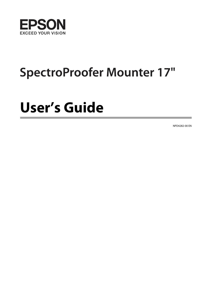

# **SpectroProofer Mounter 17"**

# **User's Guide**

NPD4282-00 EN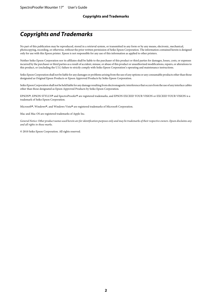### <span id="page-1-0"></span>**Copyrights and Trademarks**

No part of this publication may be reproduced, stored in a retrieval system, or transmitted in any form or by any means, electronic, mechanical, photocopying, recording, or otherwise, without the prior written permission of Seiko Epson Corporation. The information contained herein is designed only for use with this Epson printer. Epson is not responsible for any use of this information as applied to other printers.

Neither Seiko Epson Corporation nor its affiliates shall be liable to the purchaser of this product or third parties for damages, losses, costs, or expenses incurred by the purchaser or third parties as a result of accident, misuse, or abuse of this product or unauthorized modifications, repairs, or alterations to this product, or (excluding the U.S.) failure to strictly comply with Seiko Epson Corporation's operating and maintenance instructions.

Seiko Epson Corporation shall not be liable for any damages or problems arising from the use of any options or any consumable products other than those designated as Original Epson Products or Epson Approved Products by Seiko Epson Corporation.

Seiko Epson Corporation shall not be held liable for any damage resulting from electromagnetic interference that occurs from the use of any interface cables other than those designated as Epson Approved Products by Seiko Epson Corporation.

EPSON®, EPSON STYLUS® and SpectroProofer® are registered trademarks, and EPSON EXCEED YOUR VISION or EXCEED YOUR VISION is a trademark of Seiko Epson Corporation.

Microsoft® , Windows®, and Windows Vista® are registered trademarks of Microsoft Corporation.

Mac and Mac OS are registered trademarks of Apple Inc.

*General Notice: Other product names used herein are for identification purposes only and may be trademarks of their respective owners. Epson disclaims any and all rights in those marks.*

© 2010 Seiko Epson Corporation. All rights reserved.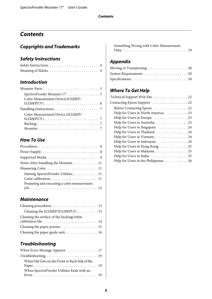### **Contents**

### **[Copyrights and Trademarks](#page-1-0)**

### **[Safety Instructions](#page-3-0)**

### **[Introduction](#page-4-0)**

| SpectroProofer Mounter 17". 5                                                         |
|---------------------------------------------------------------------------------------|
| Color Measurement Device(ILS20EP/                                                     |
| ILS20EPUV). $\dots \dots \dots \dots \dots \dots \dots \dots \dots \dots \dots \dots$ |
|                                                                                       |
| Color Measurement Device (ILS20EP/                                                    |
| ILS20EPUV). $\dots \dots \dots \dots \dots \dots \dots \dots \dots \dots \dots$       |
|                                                                                       |
|                                                                                       |

### **[How To Use](#page-7-0)**

| Notes After Installing the Mounter. 11      |
|---------------------------------------------|
|                                             |
| Starting SpectroProofer Utilities. 11       |
|                                             |
| Preparing and executing a color measurement |
|                                             |
|                                             |

### **[Maintenance](#page-12-0)**

| Cleaning the ILS20EP/ILS20EPUV. 13        |
|-------------------------------------------|
| Cleaning the surface of the backing/white |
|                                           |
| Cleaning the paper guide unit. 16         |

### **[Troubleshooting](#page-16-0)**

| When Error Message Appears. 17                                                               |
|----------------------------------------------------------------------------------------------|
|                                                                                              |
| When Ink Gets on the Front or Back Side of the<br>When SpectroProofer Utilities Ends with an |
|                                                                                              |

[Something Wrong with Color Measurement](#page-18-0) [Data. . . . . . . . . . . . . . . . . . . . . . . . . . . . . . . . . 19](#page-18-0)

### **[Appendix](#page-19-0)**

### **[Where To Get Help](#page-21-0)**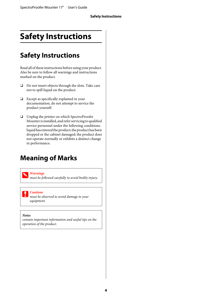# <span id="page-3-0"></span>**Safety Instructions**

# **Safety Instructions**

Read all of these instructions before using your product. Also be sure to follow all warnings and instructions marked on the product.

- ❏ Do not insert objects through the slots. Take care not to spill liquid on the product.
- ❏ Except as specifically explained in your documentation, do not attempt to service the product yourself.
- ❏ Unplug the printer on which SpectroProofer Mounter is installed, and refer servicing to qualified service personnel under the following conditions: liquid has entered the product; the product has been dropped or the cabinet damaged; the product does not operate normally or exhibits a distinct change in performance.

# **Meaning of Marks**

#### w *Warnings*

*must be followed carefully to avoid bodily injury.*

#### c*Cautions*

*must be observed to avoid damage to your equipment.*

#### *Notes*

*contain important information and useful tips on the operation of the product.*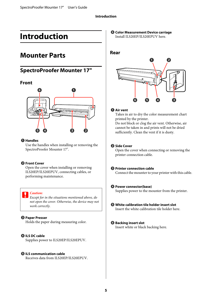# <span id="page-4-0"></span>**Introduction**

# **Mounter Parts**

### **SpectroProofer Mounter 17"**

#### **Front**



#### A **Handles**

Use the handles when installing or removing the SpectroProofer Mounter 17".

#### **<sup>2</sup>** Front Cover

Open the cover when installing or removing ILS20EP/ILS20EPUV, connecting cables, or performing maintenance.

#### c*Caution:*

*Except for in the situations mentioned above, do not open the cover. Otherwise, the device may not work correctly.*

#### C **Paper Presser**

Holds the paper during measuring color.

#### **<sup>O</sup>** ILS DC cable

Supplies power to ILS20EP/ILS20EPUV.

#### E **ILS communication cable**

Receives data from ILS20EP/ILS20EPUV.

**<sup>6</sup>** Color Measurement Device carriage Install ILS20EP/ILS20EPUV here.

### **Rear**



#### A **Air vent**

Takes in air to dry the color measurement chart printed by the printer.

Do not block or clog the air vent. Otherwise, air cannot be taken in and prints will not be dried sufficiently. Clean the vent if it is dusty.

#### **2** Side Cover

Open the cover when connecting or removing the printer connection cable.

#### C **Printer connection cable**

Connect the mounter to your printer with this cable.

#### D **Power connector(base)**

Supplies power to the mounter from the printer.

#### E **White calibration tile holder insert slot** Insert the white calibration tile holder here.

#### **6** Backing insert slot

Insert white or black backing here.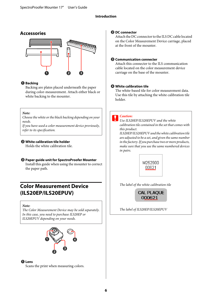#### **Introduction**

### <span id="page-5-0"></span>**Accessories**



#### A **Backing**

Backing are plates placed underneath the paper during color-measurement. Attach either black or white backing to the mounter.

#### *Note:*

*Choose the white or the black backing depending on your needs.* 

*If you have used a color measurement device previously, refer to its specification.*

#### B **White calibration tile holder**

Holds the white calibration tile.

#### C **Paper guide unit for SpectroProofer Mounter**

Install this guide when using the mounter to correct the paper path.

### **Color Measurement Device (ILS20EP/ILS20EPUV)**

*Note:*

*The Color Measurement Device may be sold separately. In this case, you need to purchase ILS20EP or ILS20EPUV depending on your needs.*



#### A **Lens**

Scans the print when measuring colors.

#### B **DC connector**

Attach the DC connector to the ILS DC cable located on the Color Measurement Device carriage, placed at the front of the mounter.

#### **<sup>6</sup>** Communication connecter

Attach this connecter to the ILS communication cable located on the color measurement device carriage on the base of the mounter.

#### D **White calibration tile**

The white-based tile for color measurement data. Use this tile by attaching the white calibration tile holder.

c*Caution: Use ILS20EP/ILS20EPUV and the white calibration tile contained in the set that comes with this product.* 

*ILS20EP/ILS20EPUV and the white calibration tile are adjusted to be a set, and given the same number in the factory. If you purchase two or more products, make sure that you use the same numbered devices in pairs.*



*The label of the white calibration tile*

**CAL PLAQUE** 000621

*The label of ILS20EP/ILS20EPUV*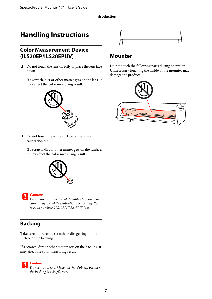# <span id="page-6-0"></span>**Handling Instructions**

### **Color Measurement Device (ILS20EP/ILS20EPUV)**

❏ Do not touch the lens directly or place the lens face down.

If a scratch, dirt or other matter gets on the lens, it may affect the color measuring result.



❏ Do not touch the white surface of the white calibration tile.

If a scratch, dirt or other matter gets on the surface, it may affect the color measuring result.



#### c*Caution:*

*Do not break or lose the white calibration tile. You cannot buy the white calibration tile by itself. You need to purchase ILS20EP/ILS20EPUV set.*

### **Backing**

Take care to prevent a scratch or dirt getting on the surface of the backing.

If a scratch, dirt or other matter gets on the backing, it may affect the color measuring result.

c*Caution: Do not drop or knock it against hard objects because the backing is a fragile part.*



### **Mounter**

Do not touch the following parts during operation. Unnecessary touching the inside of the mounter may damage the product.

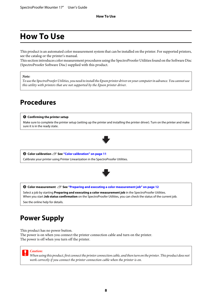# <span id="page-7-0"></span>**How To Use**

This product is an automated color measurement system that can be installed on the printer. For supported printers, see the catalog or the printer's manual.

This section introduces color measurement procedures using the SpectroProofer Utilities found on the Software Disc (SpectroProofer Software Disc) supplied with this product.

#### *Note:*

*To use the SpectroProofer Utilities, you need to install the Epson printer driver on your computer in advance. You cannot use this utility with printers that are not supported by the Epson printer driver.*

### **Procedures**

#### A **Confirming the printer setup**

Make sure to complete the printer setup (setting up the printer and installing the printer driver). Turn on the printer and make sure it is in the ready state.



**2** Color calibration  $\mathscr{B}$  See ["Color calibration" on page 11](#page-10-0)

Calibrate your printer using Printer Linearization in the SpectroProofer Utilities.



C **Color measurement** U **See ["Preparing and executing a color measurement job" on page 12](#page-11-0)**

Select a job by starting **Preparing and executing a color measurement job** in the SpectroProofer Utilities. When you start **Job status confirmation** on the SpectroProofer Utilities, you can check the status of the current job.

See the online help for details.

# **Power Supply**

This product has no power button.

The power is on when you connect the printer connection cable and turn on the printer. The power is off when you turn off the printer.



*When using this product, first connect the printer connection cable, and then turn on the printer. This product does not work correctly if you connect the printer connection cable when the printer is on.*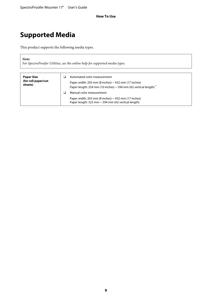# <span id="page-8-0"></span>**Supported Media**

This product supports the following media types.

*Note:*

*For SpectroProofer Utilities, see the online help for supported media types.*

| <b>Paper Size</b><br>(for roll paper/cut<br>sheets) |  | Automated color measurement<br>Paper width: 203 mm (8 inches) $\sim$ 432 mm (17 inches)<br>Paper length: 254 mm (10 inches) $\sim$ 594 mm (A2 vertical length) $^*$<br>Manual color measurement<br>Paper width: 203 mm (8 inches) $\sim$ 432 mm (17 inches)<br>Paper length: 323 mm ~ 594 mm (A2 vertical length) |
|-----------------------------------------------------|--|-------------------------------------------------------------------------------------------------------------------------------------------------------------------------------------------------------------------------------------------------------------------------------------------------------------------|
|-----------------------------------------------------|--|-------------------------------------------------------------------------------------------------------------------------------------------------------------------------------------------------------------------------------------------------------------------------------------------------------------------|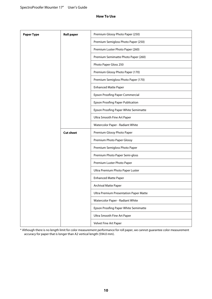| <b>Paper Type</b> | <b>Roll paper</b> | Premium Glossy Photo Paper (250)              |
|-------------------|-------------------|-----------------------------------------------|
|                   |                   | Premium Semigloss Photo Paper (250)           |
|                   |                   | Premium Luster Photo Paper (260)              |
|                   |                   | Premium Semimatte Photo Paper (260)           |
|                   |                   | Photo Paper Gloss 250                         |
|                   |                   | Premium Glossy Photo Paper (170)              |
|                   |                   | Premium Semigloss Photo Paper (170)           |
|                   |                   | <b>Enhanced Matte Paper</b>                   |
|                   |                   | <b>Epson Proofing Paper Commercial</b>        |
|                   |                   | Epson Proofing Paper Publication              |
|                   |                   | Epson Proofing Paper White Semimatte          |
|                   |                   | Ultra Smooth Fine Art Paper                   |
|                   |                   | Watercolor Paper - Radiant White              |
|                   | <b>Cut sheet</b>  | Premium Glossy Photo Paper                    |
|                   |                   | Premium Photo Paper Glossy                    |
|                   |                   | Premium Semigloss Photo Paper                 |
|                   |                   | Premium Photo Paper Semi-gloss                |
|                   |                   | Premium Luster Photo Paper                    |
|                   |                   | Ultra Premium Photo Paper Luster              |
|                   |                   | <b>Enhanced Matte Paper</b>                   |
|                   |                   | <b>Archival Matte Paper</b>                   |
|                   |                   | <b>Ultra Premium Presentation Paper Matte</b> |
|                   |                   | Watercolor Paper - Radiant White              |
|                   |                   | Epson Proofing Paper White Semimatte          |
|                   |                   | Ultra Smooth Fine Art Paper                   |
|                   |                   | Velvet Fine Art Paper                         |

\* Although there is no length limit for color measurement performance for roll paper, we cannot guarantee color measurement accuracy for paper that is longer than A2 vertical length (594.0 mm).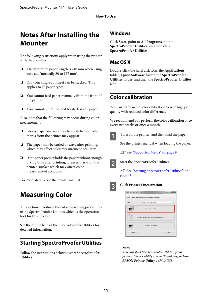# <span id="page-10-0"></span>**Notes After Installing the Mounter**

The following restrictions apply when using the printer with the mounter.

- ❏ The minimum paper length is 210 mm when using auto cut (normally 80 to 127 mm).
- ❏ Only one single cut sheet can be stacked. This applies to all paper types.
- ❏ You cannot feed paper manually from the front of the printer.
- ❏ You cannot cut four-sided borderless roll paper.

Also, note that the following may occur during color measurement.

- ❏ Glossy paper surfaces may be scratched or roller marks from the printer may appear.
- ❏ The paper may be curled or wavy after printing, which may affect color measurement accuracy.
- ❏ If the paper presser holds the paper without enough drying time after printing, it leaves marks on the printed surface which may affect color measurement accuracy.

For more details, see the printer manual.

# **Measuring Color**

This section introduces the color measuring procedures using SpectroProofer Utilities which is the operation tool for this product.

See the online help of the SpectroProofer Utilities for detailed information.

### **Starting SpectroProofer Utilities**

Follow the instructions below to start SpectroProofer Utilities.

### **Windows**

Click **Start**, point to **All Programs**, point to **SpectroProofer Utilities**, and then click **SpectroProofer Utilities**.

### **Mac OS X**

Double-click the hard disk icon, the **Applications** folder, **Epson Software** folder, the **SpectroProofer Utilities** folder, and then the **SpectroProofer Utilities** icon.

### **Color calibration**

You can perform the color calibration to keep high print quality with reduced color difference.

We recommend you perform the color calibration once every two weeks or once a month.



Turn on the printer, and then load the paper.

See the printer manual when loading the paper.

 $\mathscr{D}$  See ["Supported Media" on page 9](#page-8-0)



2 Start the SpectroProofer Utilities.

U See "Starting SpectroProofer Utilities" on page 11



### **3** Click Printer Linearization.

| SpectroProofer Utilities |                                                                |       |
|--------------------------|----------------------------------------------------------------|-------|
|                          | Select a printer and click the button for the tool to be used. |       |
| Printer:                 | Epson Stylus Pro 4988                                          | ٠     |
|                          | Printer Linearization                                          |       |
|                          | Preparing and executing a color measurement job                |       |
|                          | Job status confirmation                                        |       |
| Help                     |                                                                | Close |

#### *Note:*

*You can start SpectroProofer Utilities from printer driver's utility screen (Windows) or from EPSON Printer Utility 4 (Mac OS).*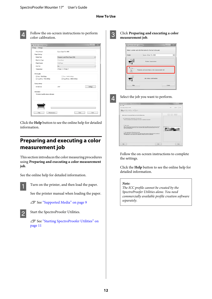<span id="page-11-0"></span>

Follow the on-screen instructions to perform color calibration.

| File(E) Help(H)                      |                                  |          |
|--------------------------------------|----------------------------------|----------|
| Printer Model                        | Epson Stylus Pro 4900            |          |
| Paper Settings                       |                                  |          |
| Media Type                           | Premium Luster Photo Paper (260) | ۰        |
| Black Ink Type                       | Photo Black                      | v        |
| Paper Source                         | Roll Paper                       | v        |
| Auto Cut                             | <b>On</b>                        | ٠        |
| Temperature                          | 22 deg. C / 72 deg. F            |          |
| Print Quality                        |                                  |          |
| V Fine - 720x720dpi                  | T Fine - 1440x1440dpi            |          |
| SuperFine - 720x1440dpi              | SuperPhoto - 2000x1440dpi        |          |
| Drying settings                      |                                  |          |
| Air blast fan                        | 230                              | Selfings |
| Information                          |                                  |          |
| 16 inches Load the above roll paper. |                                  |          |
|                                      |                                  |          |
|                                      |                                  |          |
|                                      | _______                          |          |

Click the **Help** button to see the online help for detailed information.

### **Preparing and executing a color measurement job**

This section introduces the color measuring procedures using **Preparing and executing a color measurement job**.

See the online help for detailed information.

**A** Turn on the printer, and then load the paper.

See the printer manual when loading the paper.

U See ["Supported Media" on page 9](#page-8-0)



**2** Start the SpectroProofer Utilities.

U See ["Starting SpectroProofer Utilities" on](#page-10-0) [page 11](#page-10-0)

**Click Preparing and executing a color measurement job**.

| Printer: | Epson Stylus Pro 4988                           | $\cdot$ |
|----------|-------------------------------------------------|---------|
|          | Printer Linearization                           |         |
|          | Preparing and executing a color measurement job |         |
|          | Job status confirmation                         |         |



### 4 Select the job you want to perform.



Follow the on-screen instructions to complete the settings.

Click the **Help** button to see the online help for detailed information.

#### *Note:*

*The ICC profile cannot be created by the SpectroProofer Utilities alone. You need commercially available profile creation software separately.*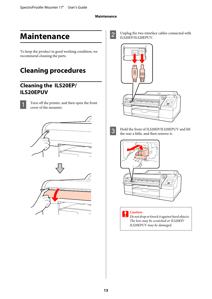#### **Maintenance**

# <span id="page-12-0"></span>**Maintenance**

To keep the product in good working condition, we recommend cleaning the parts.

# **Cleaning procedures**

### **Cleaning the ILS20EP/ ILS20EPUV**



Turn off the printer, and then open the front cover of the mounter.





 $\sum_{\text{II}}$  Unplug the two interface cables connected with ILS20EP/ILS20EPUV.





 $\overline{3}$  Hold the front of ILS20EP/ILS20EPUV and lift<br>the rear a little and then remove it the rear a little, and then remove it.



**n** Caution: *Do not drop or knock it against hard objects. The lens may be scratched or ILS20EP/ ILS20EPUV may be damaged.*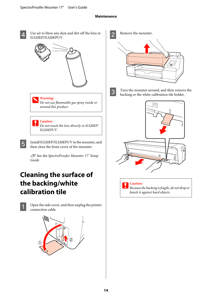#### **Maintenance**

- <span id="page-13-0"></span>
- Use air to blow any dust and dirt off the lens in ILS20EP/ILS20EPUV.



#### w *Warning:*

*Do not use flammable gas spray inside or around this product.*

#### c*Caution:*

*Do not touch the lens directly in ILS20EP/ ILS20EPUV.*

**EXECUTE:** Install ILS20EP/ILS20EPUV in the mounter, and then close the front cover of the mounter then close the front cover of the mounter.

> U See the *SpectroProofer Mounter 17" Setup Guide*

# **Cleaning the surface of the backing/white calibration tile**



Open the side cover, and then unplug the printer connection cable.



2 Remove the mounter.



 $\overline{3}$  Turn the mounter around, and then remove the hadder backing or the white calibration tile holder.



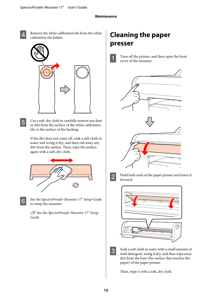- <span id="page-14-0"></span>
- Remove the white calibration tile from the white calibration tile holder.



 $\overline{5}$  Use a soft, dry cloth to carefully remove any dust or dirt from the surface of the white calibration tile or the surface of the backing.

> If the dirt does not come off, soak a soft cloth in water and wring it dry, and then rub away any dirt from the surface. Then, wipe the surface again with a soft, dry cloth.



**Followish See the** *SpectroProofer Mounter 17" Setup Guide* to setup the mounter.

> U See the *SpectroProofer Mounter 17" Setup Guide*

# **Cleaning the paper presser**

Turn off the printer, and then open the front cover of the mounter.



B Hold both ends of the paper presser and lower it forward.



 $\overline{3}$  Soak a soft cloth in water with a small amount of mild detergent, wring it dry, and then wipe away dirt from the base (the surface that touches the paper) of the paper presser.

Then, wipe it with a soft, dry cloth.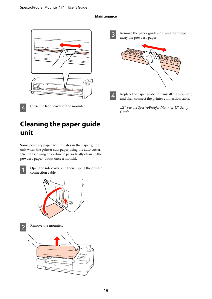#### **Maintenance**

<span id="page-15-0"></span>

4 Close the front cover of the mounter.

# **Cleaning the paper guide unit**

Some powdery paper accumulates in the paper guide unit when the printer cuts paper using the auto cutter. Use the following procedure to periodically clean up the powdery paper (about once a month).



Open the side cover, and then unplug the printer connection cable.



**2** Remove the mounter.



C Remove the paper guide unit, and then wipe away the powdery paper.



- 
- $\overline{4}$  Replace the paper guide unit, install the mounter, and then connect the printer connection cable.

U See the *SpectroProofer Mounter 17" Setup Guide*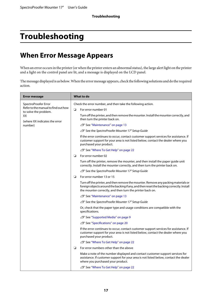# <span id="page-16-0"></span>**Troubleshooting**

# **When Error Message Appears**

When an error occurs in the printer (or when the printer enters an abnormal status), the large alert light on the printer and a light on the control panel are lit, and a message is displayed on the LCD panel.

The message displayed is as below. When the error message appears, check the following solutions and do the required action.

| <b>Error message</b>                                                                                                        | What to do                                                                                                                                                                                                                                  |  |
|-----------------------------------------------------------------------------------------------------------------------------|---------------------------------------------------------------------------------------------------------------------------------------------------------------------------------------------------------------------------------------------|--|
| SpectroProofer Error<br>Refer to the manual to find out how<br>to solve the problem.<br>XX<br>(where XX indicates the error | Check the error number, and then take the following action.                                                                                                                                                                                 |  |
|                                                                                                                             | $\Box$<br>For error number 01                                                                                                                                                                                                               |  |
|                                                                                                                             | Turn off the printer, and then remove the mounter. Install the mounter correctly, and<br>then turn the printer back on.                                                                                                                     |  |
| number)                                                                                                                     | △ See "Maintenance" on page 13                                                                                                                                                                                                              |  |
|                                                                                                                             | <b>T</b> See the SpectroProofer Mounter 17" Setup Guide                                                                                                                                                                                     |  |
|                                                                                                                             | If the error continues to occur, contact customer support services for assistance. If<br>customer support for your area is not listed below, contact the dealer where you<br>purchased your product.                                        |  |
|                                                                                                                             | 22 See "Where To Get Help" on page 22                                                                                                                                                                                                       |  |
|                                                                                                                             | For error number 02<br>❏                                                                                                                                                                                                                    |  |
|                                                                                                                             | Turn off the printer, remove the mounter, and then install the paper guide unit<br>correctly. Install the mounter correctly, and then turn the printer back on.                                                                             |  |
|                                                                                                                             | <b><i>F</i></b> See the SpectroProofer Mounter 17" Setup Guide                                                                                                                                                                              |  |
|                                                                                                                             | ❏<br>For error number 13 or 15                                                                                                                                                                                                              |  |
|                                                                                                                             | Turn off the printer, and then remove the mounter. Remove any packing materials or<br>foreign objects around the backing if any, and then reset the backing correctly. Install<br>the mounter correctly, and then turn the printer back on. |  |
|                                                                                                                             | 2 See "Maintenance" on page 13                                                                                                                                                                                                              |  |
|                                                                                                                             | <b>F</b> See the SpectroProofer Mounter 17" Setup Guide                                                                                                                                                                                     |  |
|                                                                                                                             | Or, check that the paper type and usage conditions are compatible with the<br>specifications.                                                                                                                                               |  |
|                                                                                                                             | ∠�� See "Supported Media" on page 9                                                                                                                                                                                                         |  |
|                                                                                                                             | 20 See "Specifications" on page 20                                                                                                                                                                                                          |  |
|                                                                                                                             | If the error continues to occur, contact customer support services for assistance. If<br>customer support for your area is not listed below, contact the dealer where you<br>purchased your product.                                        |  |
|                                                                                                                             | 22 See "Where To Get Help" on page 22                                                                                                                                                                                                       |  |
|                                                                                                                             | ❏<br>For error numbers other than the above                                                                                                                                                                                                 |  |
|                                                                                                                             | Make a note of the number displayed and contact customer support services for<br>assistance. If customer support for your area is not listed below, contact the dealer<br>where you purchased your product.                                 |  |
|                                                                                                                             | 22 See "Where To Get Help" on page 22                                                                                                                                                                                                       |  |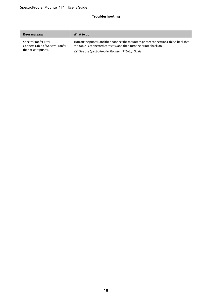#### **Troubleshooting**

| <b>Error message</b>            | What to do                                                                                |
|---------------------------------|-------------------------------------------------------------------------------------------|
| SpectroProofer Error            | Turn off the printer, and then connect the mounter's printer connection cable. Check that |
| Connect cable of SpectroProofer | the cable is connected correctly, and then turn the printer back on.                      |
| then restart printer.           | △ See the SpectroProofer Mounter 17" Setup Guide                                          |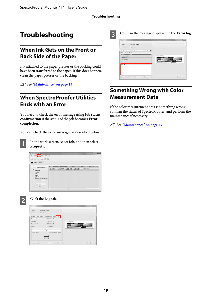## <span id="page-18-0"></span>**Troubleshooting**

### **When Ink Gets on the Front or Back Side of the Paper**

Ink attached to the paper presser or the backing could have been transferred to the paper. If this does happen, clean the paper presser or the backing.

 $\mathscr{D}$  See ["Maintenance" on page 13](#page-12-0)

### **When SpectroProofer Utilities Ends with an Error**

You need to check the error message using **Job status confirmation** if the status of the job becomes **Error completion**.

You can check the error messages as described below.



In the work screen, select **Job**, and then select **Property**.





### **B** Click the **Log** tab.

| <b>Trinder:</b><br>Chart Name                                                                                 | Epoon Stylus Pro 4900<br>TC2.83 ROB                                                                                                                                    |             |
|---------------------------------------------------------------------------------------------------------------|------------------------------------------------------------------------------------------------------------------------------------------------------------------------|-------------|
| et settings : Image settings<br>Time received:<br>Time started<br>Time completed<br>Status<br>Fred 49 Drywell | Color measurement settings Link<br>6/30/10 10:34 AM<br>4/35/16 10:35 AM<br>A/35/18 10:29 AM<br>Ever completion<br>Details:<br><b>dK</b><br>Other measurement (a) Exit. | Westwarten. |
| Help                                                                                                          | Freyour job<br>Next job                                                                                                                                                | Close       |

C Confirm the message displayed in the **Error log**.



### **Something Wrong with Color Measurement Data**

If the color measurement data is something wrong, confirm the status of SpectroProofer, and perform the maintenance if necessary.

 $\mathscr{D}$  See ["Maintenance" on page 13](#page-12-0)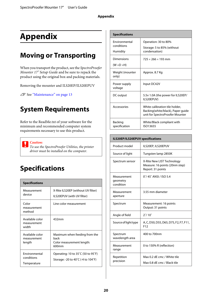# <span id="page-19-0"></span>**Appendix**

# **Moving or Transporting**

When you transport the product, see the *SpectroProofer Mounter 17" Setup Guide* and be sure to repack the product using the original box and packing materials.

Removing the mounter and ILS20EP/ILS20EPUV

U See ["Maintenance" on page 13](#page-12-0)

# **System Requirements**

Refer to the ReadMe.txt of your software for the minimum and recommended computer system requirements necessary to use this product.



*To use the SpectroProofer Utilities, the printer driver must be installed on the computer.*

# **Specifications**

| <b>Specifications</b>                             |                                                                             |
|---------------------------------------------------|-----------------------------------------------------------------------------|
| Measurement<br>device                             | X-Rite ILS20EP (without UV filter)<br>ILS20EPUV (with UV filter)            |
| Color<br>measurement<br>method                    | Line color measurement                                                      |
| Available color<br>measurement<br>width           | 432mm                                                                       |
| Available color<br>measurement<br>length          | Maximum when feeding from the<br>back<br>Color measurement length:<br>600mm |
| <b>Environmental</b><br>conditions<br>Temperature | Operating: 10 to 35°C (50 to 95°F)<br>Storage: -20 to 40°C (-4 to 104°F)    |

| <b>Specifications</b>                   |                                                                                                        |
|-----------------------------------------|--------------------------------------------------------------------------------------------------------|
| Environmental<br>conditions<br>Humidity | Operation: 30 to 80%<br>Storage: 5 to 85% (without<br>condensation)                                    |
| Dimensions<br>$(W \times D \times H)$   | $725 \times 266 \times 193$ mm                                                                         |
| Weight (mounter<br>only)                | Approx. 8.7 Kg                                                                                         |
| Power supply<br>voltage                 | Input DC42V                                                                                            |
| DC output                               | 5.5v 1.0A (the power for ILS20EP/<br>ILS20EPUV)                                                        |
| Accessories                             | White calibration tile holder.<br>Backing(white/black), Paper guide<br>unit for SpectroProofer Mounter |
| Backing<br>specification                | White/Black compliant with<br>ISO13655                                                                 |

### **ILS20EP/ILS20EPUV specifications**

| Product model                        | ILS20EP, ILS20EPUV                                                                |
|--------------------------------------|-----------------------------------------------------------------------------------|
| Source of light                      | Tungsten lamp 2850K                                                               |
| Spectrum sensor                      | X-Rite New LIST Technology<br>Measure: 16 points (20nm step)<br>Report: 31 points |
| Measurement<br>geometry<br>condition | 0°/45° ANSI / ISO 5.4                                                             |
| Measurement<br>aperture              | 3.55 mm diameter                                                                  |
| Spectrum                             | Measurement: 16 points<br>Output: 31 points                                       |
| Angle of field                       | $2^{\circ}/10^{\circ}$                                                            |
| Source of light type                 | A, C, D50, D55, D65, D75, F2, F7, F11,<br>F <sub>12</sub>                         |
| Spectrum<br>wavelength area          | 400 to 700nm                                                                      |
| Measurement<br>range                 | 0 to 150% R (reflection)                                                          |
| Repetition<br>precision              | Max 0.2 dE cmc / White tile<br>Max 0.8 dF cmc / Black tile                        |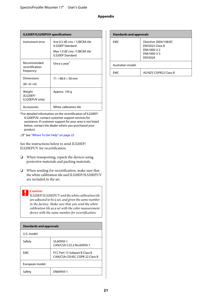| ILS20EP/ILS20EPUV specifications            |                                                         |
|---------------------------------------------|---------------------------------------------------------|
| Instrument error                            | Ave 0.5 dE cmc / 12BCRA tile<br><b>ILS20EP Standard</b> |
|                                             | Max 1.0 dE cmc /12BCRA tile<br><b>ILS20EP Standard</b>  |
| Recommended<br>recertification<br>frequency | Once a year <sup>®</sup>                                |
| Dimensions<br>$(W \times D \times H)$       | $71 \times 88.6 \times 58$ mm                           |
| Weight<br>(ILS20EP/<br>ILS20EPUV only)      | Approx. 130 q                                           |
| Accessories                                 | White calibration tile                                  |

\*For detailed information on the recertification of ILS20EP/ ILS20EPUV, contact customer support services for assistance. If customer support for your area is not listed below, contact the dealer where you purchased your product.

U See ["Where To Get Help" on page 22](#page-21-0)

See the instructions below to send ILS20EP/ ILS20EPUV for recertification.

- ❏ When transporting, repack the devices using protective materials and packing materials.
- ❏ When sending for recertification, make sure that the white calibration tile and ILS20EP/ILS20EPUV are included in the set.

#### c*Caution:*

*ILS20EP/ILS20EPUV and the white calibration tile are adjusted to be a set, and given the same number in the factory. Make sure that you send the white calibration tile as a set with the color measurement device with the same number for recertification.*

| <b>Standards and approvals</b> |                                                                   |
|--------------------------------|-------------------------------------------------------------------|
| U.S. model:                    |                                                                   |
| Safety                         | UI 60950-1<br>CAN/CSA-C22.2 No.60950-1                            |
| <b>FMC</b>                     | FCC Part 15 Subpart B Class B<br>CAN/CSA-CEI/IEC CISPR 22 Class B |
| European model:                |                                                                   |
| Safety                         | FN60950-1                                                         |

| <b>Standards and approvals</b> |                                                                                          |
|--------------------------------|------------------------------------------------------------------------------------------|
| <b>EMC</b>                     | Directive 2004/108/EC<br><b>EN55022 Class B</b><br>EN61000-3-2<br>EN61000-3-3<br>EN55024 |
| Australian model:              |                                                                                          |
| FMC                            | AS/NZS CISPR22 Class B                                                                   |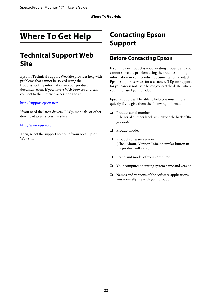# <span id="page-21-0"></span>**Where To Get Help**

# **Technical Support Web Site**

Epson's Technical Support Web Site provides help with problems that cannot be solved using the troubleshooting information in your product documentation. If you have a Web browser and can connect to the Internet, access the site at:

#### <http://support.epson.net/>

If you need the latest drivers, FAQs, manuals, or other downloadables, access the site at:

#### <http://www.epson.com>

Then, select the support section of your local Epson Web site.

# **Contacting Epson Support**

### **Before Contacting Epson**

If your Epson product is not operating properly and you cannot solve the problem using the troubleshooting information in your product documentation, contact Epson support services for assistance. If Epson support for your area is not listed below, contact the dealer where you purchased your product.

Epson support will be able to help you much more quickly if you give them the following information:

- ❏ Product serial number (The serial number label is usually on the back of the product.)
- ❏ Product model
- ❏ Product software version (Click **About**, **Version Info**, or similar button in the product software.)
- ❏ Brand and model of your computer
- ❏ Your computer operating system name and version
- ❏ Names and versions of the software applications you normally use with your product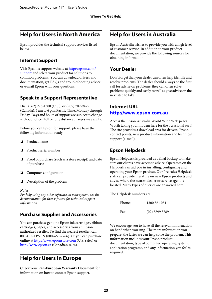### <span id="page-22-0"></span>**Help for Users in North America**

Epson provides the technical support services listed below.

### **Internet Support**

Visit Epson's support website at [http://epson.com/](http://epson.com/support) [support](http://epson.com/support) and select your product for solutions to common problems. You can download drivers and documentation, get FAQs and troubleshooting advice, or e-mail Epson with your questions.

### **Speak to a Support Representative**

Dial: (562) 276-1300 (U.S.), or (905) 709-9475 (Canada), 6 am to 6 pm, Pacific Time, Monday through Friday. Days and hours of support are subject to change without notice. Toll or long distance charges may apply.

Before you call Epson for support, please have the following information ready:

- ❏ Product name
- ❏ Product serial number
- ❏ Proof of purchase (such as a store receipt) and date of purchase
- ❏ Computer configuration
- ❏ Description of the problem

#### *Note:*

*For help using any other software on your system, see the documentation for that software for technical support information.*

### **Purchase Supplies and Accessories**

You can purchase genuine Epson ink cartridges, ribbon cartridges, paper, and accessories from an Epson authorized reseller. To find the nearest reseller, call 800-GO-EPSON (800-463-7766). Or you can purchase online at<http://www.epsonstore.com> (U.S. sales) or <http://www.epson.ca>(Canadian sales).

### **Help for Users in Europe**

Check your **Pan-European Warranty Document** for information on how to contact Epson support.

### **Help for Users in Australia**

Epson Australia wishes to provide you with a high level of customer service. In addition to your product documentation, we provide the following sources for obtaining information:

### **Your Dealer**

Don't forget that your dealer can often help identify and resolve problems. The dealer should always be the first call for advise on problems; they can often solve problems quickly and easily as well as give advise on the next step to take.

### **Internet URL <http://www.epson.com.au>**

Access the Epson Australia World Wide Web pages. Worth taking your modem here for the occasional surf! The site provides a download area for drivers, Epson contact points, new product information and technical support (e-mail).

### **Epson Helpdesk**

Epson Helpdesk is provided as a final backup to make sure our clients have access to advice. Operators on the Helpdesk can aid you in installing, configuring and operating your Epson product. Our Pre-sales Helpdesk staff can provide literature on new Epson products and advise where the nearest dealer or service agent is located. Many types of queries are answered here.

The Helpdesk numbers are:

| Phone: | 1300 361 054     |
|--------|------------------|
| Fax:   | $(02)$ 8899 3789 |

We encourage you to have all the relevant information on hand when you ring. The more information you prepare, the faster we can help solve the problem. This information includes your Epson product documentation, type of computer, operating system, application programs, and any information you feel is required.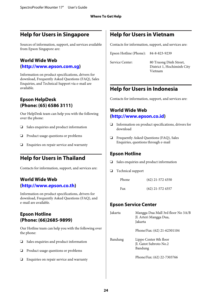### <span id="page-23-0"></span>**Help for Users in Singapore**

Sources of information, support, and services available from Epson Singapore are:

### **World Wide Web**

#### **[\(http://www.epson.com.sg](http://www.epson.com.sg))**

Information on product specifications, drivers for download, Frequently Asked Questions (FAQ), Sales Enquiries, and Technical Support via e-mail are available.

### **Epson HelpDesk (Phone: (65) 6586 3111)**

Our HelpDesk team can help you with the following over the phone:

- ❏ Sales enquiries and product information
- ❏ Product usage questions or problems
- ❏ Enquiries on repair service and warranty

### **Help for Users in Thailand**

Contacts for information, support, and services are:

### **World Wide Web [\(http://www.epson.co.th](http://www.epson.co.th))**

Information on product specifications, drivers for download, Frequently Asked Questions (FAQ), and e-mail are available.

### **Epson Hotline (Phone: (66)2685-9899)**

Our Hotline team can help you with the following over the phone:

- ❏ Sales enquiries and product information
- ❏ Product usage questions or problems
- ❏ Enquiries on repair service and warranty

### **Help for Users in Vietnam**

Contacts for information, support, and services are:

Epson Hotline (Phone): 84-8-823-9239

Service Center: 80 Truong Dinh Street, District 1, Hochiminh City Vietnam

### **Help for Users in Indonesia**

Contacts for information, support, and services are:

### **World Wide Web ([http://www.epson.co.id\)](http://www.epson.co.id)**

- ❏ Information on product specifications, drivers for download
- ❏ Frequently Asked Questions (FAQ), Sales Enquiries, questions through e-mail

### **Epson Hotline**

- ❏ Sales enquiries and product information
- ❏ Technical support

| Phone | $(62)$ 21-572 4350 |
|-------|--------------------|
| Fax   | $(62)$ 21-572 4357 |

### **Epson Service Center**

| Jakarta | Mangga Dua Mall 3rd floor No 3A/B<br>Jl. Arteri Mangga Dua,<br>Jakarta |
|---------|------------------------------------------------------------------------|
|         | Phone/Fax: (62) 21-62301104                                            |
| Bandung | Lippo Center 8th floor<br>Jl. Gatot Subroto No.2<br>Bandung            |
|         | Phone/Fax: (62) 22-7303766                                             |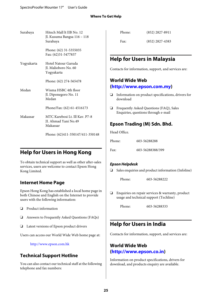<span id="page-24-0"></span>

| Surabaya   | Hitech Mall lt IIB No. 12<br>Jl. Kusuma Bangsa 116 - 118<br>Surabaya |
|------------|----------------------------------------------------------------------|
|            | Phone: (62) 31-5355035<br>Fax: (62)31-5477837                        |
| Yogyakarta | Hotel Natour Garuda<br>Jl. Malioboro No. 60<br>Yogyakarta            |
|            | Phone: (62) 274-565478                                               |
| Medan      | Wisma HSBC 4th floor<br>Jl. Diponegoro No. 11<br>Medan               |
|            | Phone/Fax: (62) 61-4516173                                           |
| Makassar   | MTC Karebosi Lt. Ill Kav. P7-8<br>JI. Ahmad Yani No.49<br>Makassar   |
|            | Phone: (62)411-350147/411-350148                                     |

### **Help for Users in Hong Kong**

To obtain technical support as well as other after-sales services, users are welcome to contact Epson Hong Kong Limited.

### **Internet Home Page**

Epson Hong Kong has established a local home page in both Chinese and English on the Internet to provide users with the following information:

- ❏ Product information
- ❏ Answers to Frequently Asked Questions (FAQs)
- ❏ Latest versions of Epson product drivers

Users can access our World Wide Web home page at:

<http://www.epson.com.hk>

### **Technical Support Hotline**

You can also contact our technical staff at the following telephone and fax numbers:

| Phone: | $(852)$ 2827-8911 |
|--------|-------------------|
| Fax:   | $(852)$ 2827-4383 |

### **Help for Users in Malaysia**

Contacts for information, support, and services are:

### **World Wide Web (<http://www.epson.com.my>)**

- ❏ Information on product specifications, drivers for download
- ❏ Frequently Asked Questions (FAQ), Sales Enquiries, questions through e-mail

### **Epson Trading (M) Sdn. Bhd.**

Head Office.

| Phone: | 603-56288288     |  |
|--------|------------------|--|
| Fax:   | 603-56288388/399 |  |

#### **Epson Helpdesk**

❏ Sales enquiries and product information (Infoline)

Phone: 603-56288222

❏ Enquiries on repair services & warranty, product usage and technical support (Techline)

Phone: 603-56288333

### **Help for Users in India**

Contacts for information, support, and services are:

### **World Wide Web ([http://www.epson.co.in\)](http://www.epson.co.in)**

Information on product specifications, drivers for download, and products enquiry are available.